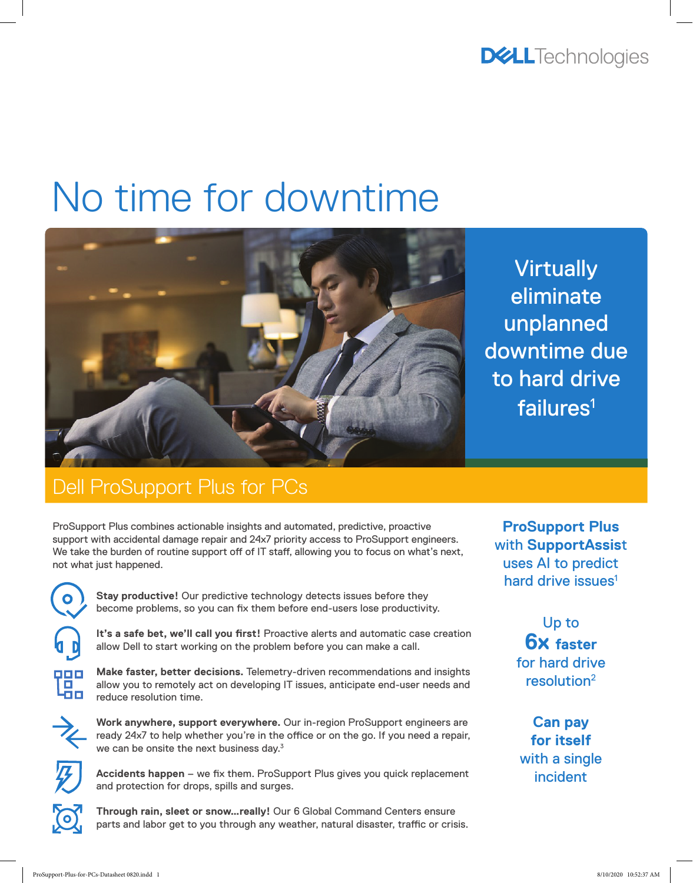**DELL**Technologies

# No time for downtime



**Virtually** eliminate unplanned downtime due to hard drive failures<sup>1</sup>

## Dell ProSupport Plus for PCs

ProSupport Plus combines actionable insights and automated, predictive, proactive support with accidental damage repair and 24x7 priority access to ProSupport engineers. We take the burden of routine support off of IT staff, allowing you to focus on what's next, not what just happened.



**Stay productive!** Our predictive technology detects issues before they become problems, so you can fix them before end-users lose productivity.

It's a safe bet, we'll call you first! Proactive alerts and automatic case creation allow Dell to start working on the problem before you can make a call.



**Make faster, better decisions.** Telemetry-driven recommendations and insights allow you to remotely act on developing IT issues, anticipate end-user needs and reduce resolution time.



**Work anywhere, support everywhere.** Our in-region ProSupport engineers are ready 24x7 to help whether you're in the office or on the go. If you need a repair, we can be onsite the next business day.<sup>3</sup>



**Accidents happen** – we fix them. ProSupport Plus gives you quick replacement and protection for drops, spills and surges.

**Through rain, sleet or snow…really!** Our 6 Global Command Centers ensure parts and labor get to you through any weather, natural disaster, traffic or crisis.

**ProSupport Plus** with **SupportAssis**t uses AI to predict hard drive issues<sup>1</sup>

> Up to **6x faster**  for hard drive resolution2

**Can pay for itself** with a single incident